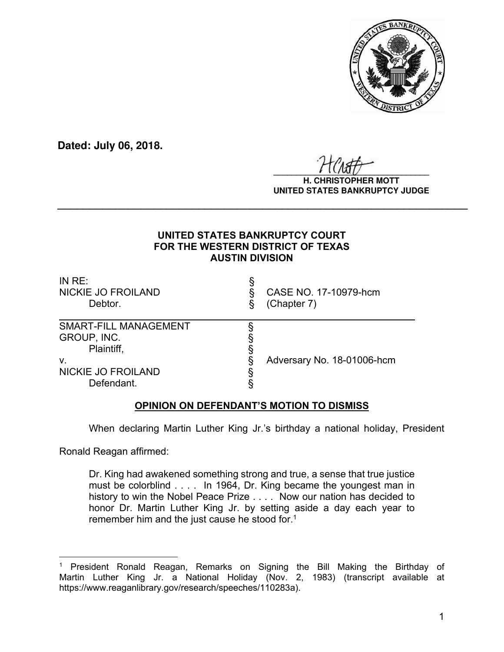

**Dated: July 06, 2018.**

 $\frac{1}{2}$ 

#### **H. CHRISTOPHER MOTT UNITED STATES BANKRUPTCY JUDGE**

## **UNITED STATES BANKRUPTCY COURT FOR THE WESTERN DISTRICT OF TEXAS AUSTIN DIVISION**

**\_\_\_\_\_\_\_\_\_\_\_\_\_\_\_\_\_\_\_\_\_\_\_\_\_\_\_\_\_\_\_\_\_\_\_\_\_\_\_\_\_\_\_\_\_\_\_\_\_\_\_\_\_\_\_\_\_\_\_\_\_\_\_\_**

| IN $RE:$<br><b>NICKIE JO FROILAND</b><br>Debtor.                                                           | CASE NO. 17-10979-hcm<br>(Chapter 7) |
|------------------------------------------------------------------------------------------------------------|--------------------------------------|
| <b>SMART-FILL MANAGEMENT</b><br>GROUP, INC.<br>Plaintiff,<br>v.<br><b>NICKIE JO FROILAND</b><br>Defendant. | Adversary No. 18-01006-hcm           |

# **OPINION ON DEFENDANT'S MOTION TO DISMISS**

When declaring Martin Luther King Jr.'s birthday a national holiday, President

Ronald Reagan affirmed:

 $\overline{a}$ 

Dr. King had awakened something strong and true, a sense that true justice must be colorblind . . . . In 1964, Dr. King became the youngest man in history to win the Nobel Peace Prize . . . . Now our nation has decided to honor Dr. Martin Luther King Jr. by setting aside a day each year to remember him and the just cause he stood for.<sup>1</sup>

<sup>&</sup>lt;sup>1</sup> President Ronald Reagan, Remarks on Signing the Bill Making the Birthday of Martin Luther King Jr. a National Holiday (Nov. 2, 1983) (transcript available at https://www.reaganlibrary.gov/research/speeches/110283a).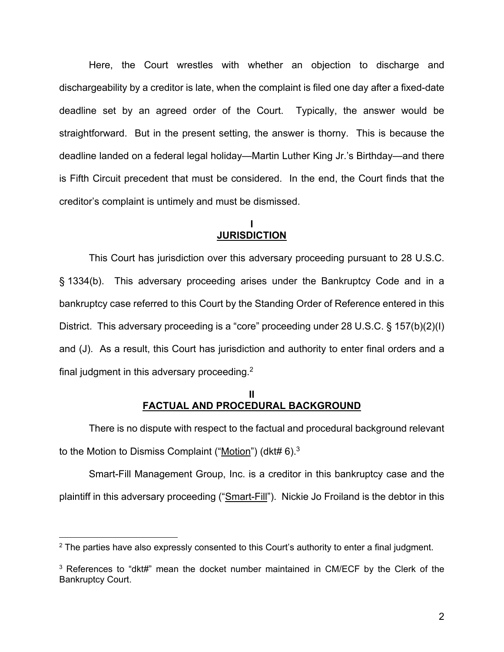Here, the Court wrestles with whether an objection to discharge and dischargeability by a creditor is late, when the complaint is filed one day after a fixed-date deadline set by an agreed order of the Court. Typically, the answer would be straightforward. But in the present setting, the answer is thorny. This is because the deadline landed on a federal legal holiday—Martin Luther King Jr.'s Birthday—and there is Fifth Circuit precedent that must be considered. In the end, the Court finds that the creditor's complaint is untimely and must be dismissed.

#### **I JURISDICTION**

This Court has jurisdiction over this adversary proceeding pursuant to 28 U.S.C. § 1334(b). This adversary proceeding arises under the Bankruptcy Code and in a bankruptcy case referred to this Court by the Standing Order of Reference entered in this District. This adversary proceeding is a "core" proceeding under 28 U.S.C. § 157(b)(2)(I) and (J). As a result, this Court has jurisdiction and authority to enter final orders and a final judgment in this adversary proceeding.2

## **II FACTUAL AND PROCEDURAL BACKGROUND**

 There is no dispute with respect to the factual and procedural background relevant to the Motion to Dismiss Complaint ("Motion") (dkt#  $6$ ).<sup>3</sup>

 Smart-Fill Management Group, Inc. is a creditor in this bankruptcy case and the plaintiff in this adversary proceeding ("Smart-Fill"). Nickie Jo Froiland is the debtor in this

 $2$  The parties have also expressly consented to this Court's authority to enter a final judgment.

<sup>&</sup>lt;sup>3</sup> References to "dkt#" mean the docket number maintained in CM/ECF by the Clerk of the Bankruptcy Court.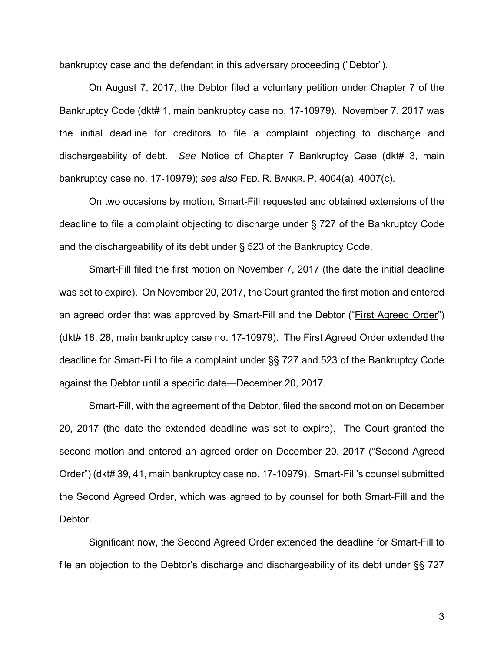bankruptcy case and the defendant in this adversary proceeding ("Debtor").

On August 7, 2017, the Debtor filed a voluntary petition under Chapter 7 of the Bankruptcy Code (dkt# 1, main bankruptcy case no. 17-10979). November 7, 2017 was the initial deadline for creditors to file a complaint objecting to discharge and dischargeability of debt. *See* Notice of Chapter 7 Bankruptcy Case (dkt# 3, main bankruptcy case no. 17-10979); *see also* FED. R. BANKR. P. 4004(a), 4007(c).

On two occasions by motion, Smart-Fill requested and obtained extensions of the deadline to file a complaint objecting to discharge under § 727 of the Bankruptcy Code and the dischargeability of its debt under § 523 of the Bankruptcy Code.

Smart-Fill filed the first motion on November 7, 2017 (the date the initial deadline was set to expire). On November 20, 2017, the Court granted the first motion and entered an agreed order that was approved by Smart-Fill and the Debtor ("First Agreed Order") (dkt# 18, 28, main bankruptcy case no. 17-10979). The First Agreed Order extended the deadline for Smart-Fill to file a complaint under §§ 727 and 523 of the Bankruptcy Code against the Debtor until a specific date—December 20, 2017.

Smart-Fill, with the agreement of the Debtor, filed the second motion on December 20, 2017 (the date the extended deadline was set to expire). The Court granted the second motion and entered an agreed order on December 20, 2017 ("Second Agreed Order") (dkt# 39, 41, main bankruptcy case no. 17-10979). Smart-Fill's counsel submitted the Second Agreed Order, which was agreed to by counsel for both Smart-Fill and the Debtor.

Significant now, the Second Agreed Order extended the deadline for Smart-Fill to file an objection to the Debtor's discharge and dischargeability of its debt under §§ 727

3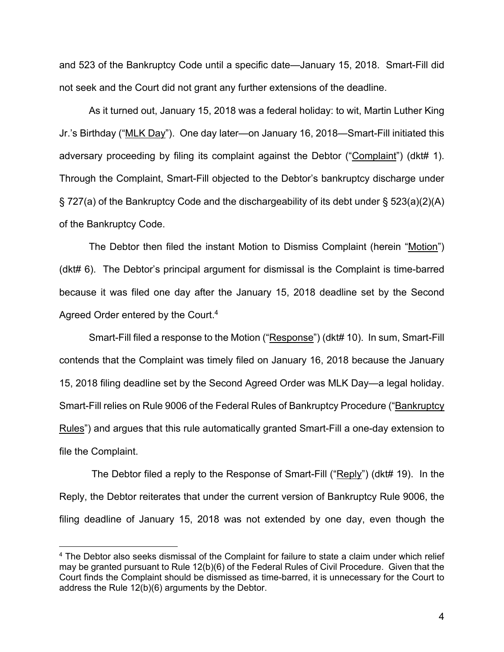and 523 of the Bankruptcy Code until a specific date—January 15, 2018. Smart-Fill did not seek and the Court did not grant any further extensions of the deadline.

As it turned out, January 15, 2018 was a federal holiday: to wit, Martin Luther King Jr.'s Birthday ("MLK Day"). One day later—on January 16, 2018—Smart-Fill initiated this adversary proceeding by filing its complaint against the Debtor ("Complaint") (dkt# 1). Through the Complaint, Smart-Fill objected to the Debtor's bankruptcy discharge under § 727(a) of the Bankruptcy Code and the dischargeability of its debt under § 523(a)(2)(A) of the Bankruptcy Code.

The Debtor then filed the instant Motion to Dismiss Complaint (herein "Motion") (dkt# 6). The Debtor's principal argument for dismissal is the Complaint is time-barred because it was filed one day after the January 15, 2018 deadline set by the Second Agreed Order entered by the Court.<sup>4</sup>

Smart-Fill filed a response to the Motion ("Response") (dkt# 10). In sum, Smart-Fill contends that the Complaint was timely filed on January 16, 2018 because the January 15, 2018 filing deadline set by the Second Agreed Order was MLK Day—a legal holiday. Smart-Fill relies on Rule 9006 of the Federal Rules of Bankruptcy Procedure ("Bankruptcy Rules") and argues that this rule automatically granted Smart-Fill a one-day extension to file the Complaint.

The Debtor filed a reply to the Response of Smart-Fill ("Reply") (dkt# 19). In the Reply, the Debtor reiterates that under the current version of Bankruptcy Rule 9006, the filing deadline of January 15, 2018 was not extended by one day, even though the

<sup>4</sup> The Debtor also seeks dismissal of the Complaint for failure to state a claim under which relief may be granted pursuant to Rule 12(b)(6) of the Federal Rules of Civil Procedure. Given that the Court finds the Complaint should be dismissed as time-barred, it is unnecessary for the Court to address the Rule 12(b)(6) arguments by the Debtor.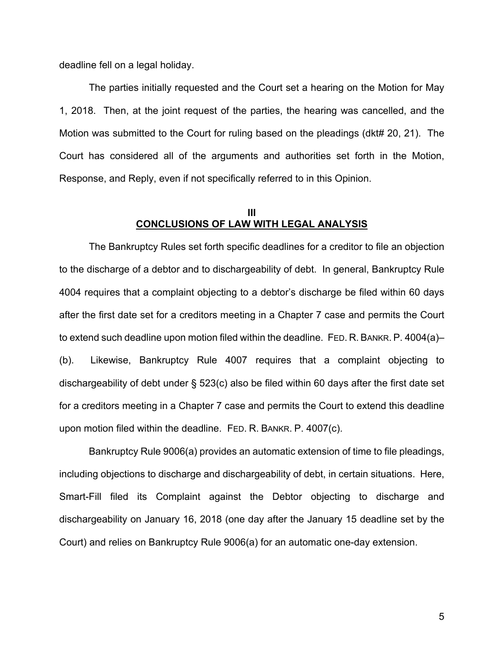deadline fell on a legal holiday.

The parties initially requested and the Court set a hearing on the Motion for May 1, 2018. Then, at the joint request of the parties, the hearing was cancelled, and the Motion was submitted to the Court for ruling based on the pleadings (dkt# 20, 21). The Court has considered all of the arguments and authorities set forth in the Motion, Response, and Reply, even if not specifically referred to in this Opinion.

#### **III CONCLUSIONS OF LAW WITH LEGAL ANALYSIS**

The Bankruptcy Rules set forth specific deadlines for a creditor to file an objection to the discharge of a debtor and to dischargeability of debt. In general, Bankruptcy Rule 4004 requires that a complaint objecting to a debtor's discharge be filed within 60 days after the first date set for a creditors meeting in a Chapter 7 case and permits the Court to extend such deadline upon motion filed within the deadline. FED. R. BANKR. P. 4004(a)– (b). Likewise, Bankruptcy Rule 4007 requires that a complaint objecting to dischargeability of debt under § 523(c) also be filed within 60 days after the first date set for a creditors meeting in a Chapter 7 case and permits the Court to extend this deadline upon motion filed within the deadline. FED. R. BANKR. P. 4007(c).

Bankruptcy Rule 9006(a) provides an automatic extension of time to file pleadings, including objections to discharge and dischargeability of debt, in certain situations. Here, Smart-Fill filed its Complaint against the Debtor objecting to discharge and dischargeability on January 16, 2018 (one day after the January 15 deadline set by the Court) and relies on Bankruptcy Rule 9006(a) for an automatic one-day extension.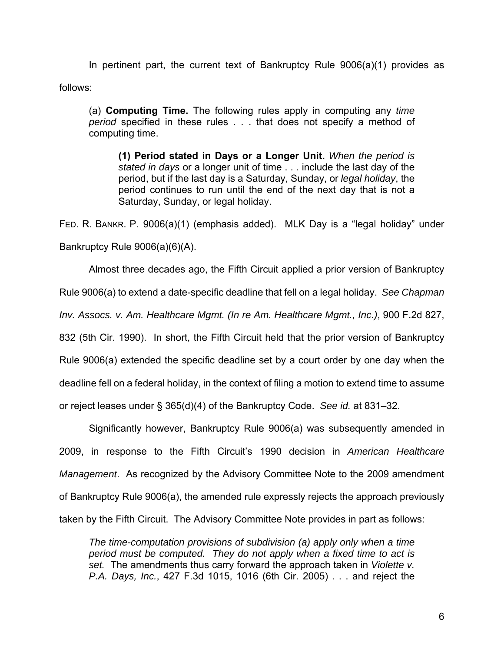In pertinent part, the current text of Bankruptcy Rule 9006(a)(1) provides as follows:

(a) **Computing Time.** The following rules apply in computing any *time period* specified in these rules . . . that does not specify a method of computing time.

**(1) Period stated in Days or a Longer Unit.** *When the period is stated in days* or a longer unit of time . . . include the last day of the period, but if the last day is a Saturday, Sunday, or *legal holiday*, the period continues to run until the end of the next day that is not a Saturday, Sunday, or legal holiday.

FED. R. BANKR. P. 9006(a)(1) (emphasis added). MLK Day is a "legal holiday" under Bankruptcy Rule 9006(a)(6)(A).

 Almost three decades ago, the Fifth Circuit applied a prior version of Bankruptcy Rule 9006(a) to extend a date-specific deadline that fell on a legal holiday. *See Chapman Inv. Assocs. v. Am. Healthcare Mgmt. (In re Am. Healthcare Mgmt., Inc.)*, 900 F.2d 827, 832 (5th Cir. 1990). In short, the Fifth Circuit held that the prior version of Bankruptcy Rule 9006(a) extended the specific deadline set by a court order by one day when the deadline fell on a federal holiday, in the context of filing a motion to extend time to assume or reject leases under § 365(d)(4) of the Bankruptcy Code. *See id.* at 831–32.

Significantly however, Bankruptcy Rule 9006(a) was subsequently amended in 2009, in response to the Fifth Circuit's 1990 decision in *American Healthcare Management*. As recognized by the Advisory Committee Note to the 2009 amendment of Bankruptcy Rule 9006(a), the amended rule expressly rejects the approach previously taken by the Fifth Circuit. The Advisory Committee Note provides in part as follows:

*The time-computation provisions of subdivision (a) apply only when a time period must be computed. They do not apply when a fixed time to act is set.* The amendments thus carry forward the approach taken in *Violette v. P.A. Days, Inc.*, 427 F.3d 1015, 1016 (6th Cir. 2005) . . . and reject the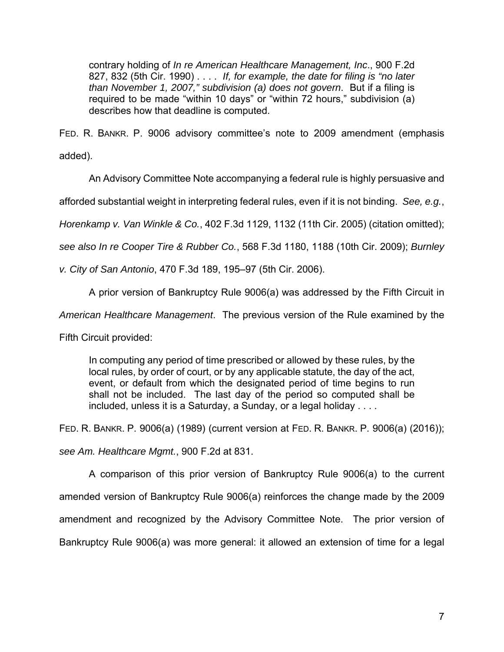contrary holding of *In re American Healthcare Management, Inc*., 900 F.2d 827, 832 (5th Cir. 1990) . . . . *If, for example, the date for filing is "no later than November 1, 2007," subdivision (a) does not govern*. But if a filing is required to be made "within 10 days" or "within 72 hours," subdivision (a) describes how that deadline is computed.

FED. R. BANKR. P. 9006 advisory committee's note to 2009 amendment (emphasis added).

An Advisory Committee Note accompanying a federal rule is highly persuasive and

afforded substantial weight in interpreting federal rules, even if it is not binding. *See, e.g.*,

*Horenkamp v. Van Winkle & Co.*, 402 F.3d 1129, 1132 (11th Cir. 2005) (citation omitted);

*see also In re Cooper Tire & Rubber Co.*, 568 F.3d 1180, 1188 (10th Cir. 2009); *Burnley* 

*v. City of San Antonio*, 470 F.3d 189, 195–97 (5th Cir. 2006).

A prior version of Bankruptcy Rule 9006(a) was addressed by the Fifth Circuit in

*American Healthcare Management*. The previous version of the Rule examined by the

Fifth Circuit provided:

In computing any period of time prescribed or allowed by these rules, by the local rules, by order of court, or by any applicable statute, the day of the act, event, or default from which the designated period of time begins to run shall not be included. The last day of the period so computed shall be included, unless it is a Saturday, a Sunday, or a legal holiday . . . .

FED. R. BANKR. P. 9006(a) (1989) (current version at FED. R. BANKR. P. 9006(a) (2016));

*see Am. Healthcare Mgmt.*, 900 F.2d at 831.

 A comparison of this prior version of Bankruptcy Rule 9006(a) to the current amended version of Bankruptcy Rule 9006(a) reinforces the change made by the 2009 amendment and recognized by the Advisory Committee Note. The prior version of Bankruptcy Rule 9006(a) was more general: it allowed an extension of time for a legal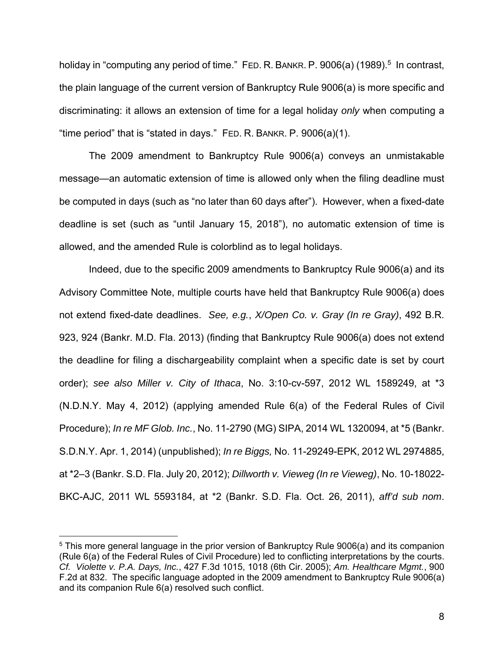holiday in "computing any period of time." FED. R. BANKR. P. 9006(a) (1989).<sup>5</sup> In contrast, the plain language of the current version of Bankruptcy Rule 9006(a) is more specific and discriminating: it allows an extension of time for a legal holiday *only* when computing a "time period" that is "stated in days." FED. R. BANKR. P. 9006(a)(1).

 The 2009 amendment to Bankruptcy Rule 9006(a) conveys an unmistakable message—an automatic extension of time is allowed only when the filing deadline must be computed in days (such as "no later than 60 days after"). However, when a fixed-date deadline is set (such as "until January 15, 2018"), no automatic extension of time is allowed, and the amended Rule is colorblind as to legal holidays.

Indeed, due to the specific 2009 amendments to Bankruptcy Rule 9006(a) and its Advisory Committee Note, multiple courts have held that Bankruptcy Rule 9006(a) does not extend fixed-date deadlines. *See, e.g.*, *X/Open Co. v. Gray (In re Gray)*, 492 B.R. 923, 924 (Bankr. M.D. Fla. 2013) (finding that Bankruptcy Rule 9006(a) does not extend the deadline for filing a dischargeability complaint when a specific date is set by court order); *see also Miller v. City of Ithaca*, No. 3:10-cv-597, 2012 WL 1589249, at \*3 (N.D.N.Y. May 4, 2012) (applying amended Rule 6(a) of the Federal Rules of Civil Procedure); *In re MF Glob. Inc.*, No. 11-2790 (MG) SIPA, 2014 WL 1320094, at \*5 (Bankr. S.D.N.Y. Apr. 1, 2014) (unpublished); *In re Biggs,* No. 11-29249-EPK, 2012 WL 2974885, at \*2–3 (Bankr. S.D. Fla. July 20, 2012); *Dillworth v. Vieweg (In re Vieweg)*, No. 10-18022- BKC-AJC, 2011 WL 5593184, at \*2 (Bankr. S.D. Fla. Oct. 26, 2011), *aff'd sub nom*.

<sup>5</sup> This more general language in the prior version of Bankruptcy Rule 9006(a) and its companion (Rule 6(a) of the Federal Rules of Civil Procedure) led to conflicting interpretations by the courts. *Cf. Violette v. P.A. Days, Inc.*, 427 F.3d 1015, 1018 (6th Cir. 2005); *Am. Healthcare Mgmt.*, 900 F.2d at 832. The specific language adopted in the 2009 amendment to Bankruptcy Rule 9006(a) and its companion Rule 6(a) resolved such conflict.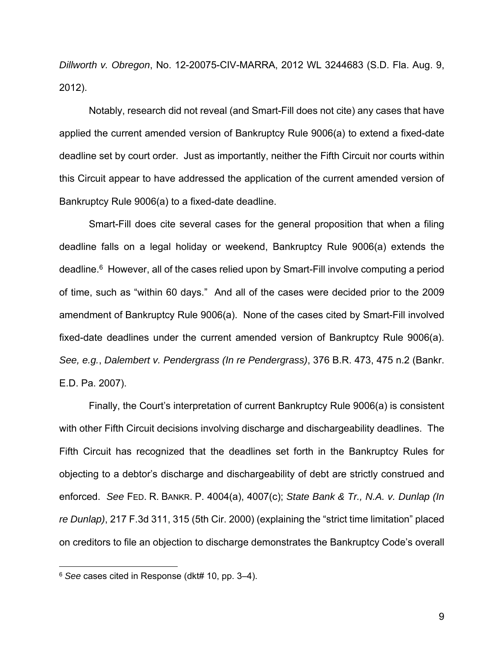*Dillworth v. Obregon*, No. 12-20075-CIV-MARRA, 2012 WL 3244683 (S.D. Fla. Aug. 9, 2012).

Notably, research did not reveal (and Smart-Fill does not cite) any cases that have applied the current amended version of Bankruptcy Rule 9006(a) to extend a fixed-date deadline set by court order. Just as importantly, neither the Fifth Circuit nor courts within this Circuit appear to have addressed the application of the current amended version of Bankruptcy Rule 9006(a) to a fixed-date deadline.

Smart-Fill does cite several cases for the general proposition that when a filing deadline falls on a legal holiday or weekend, Bankruptcy Rule 9006(a) extends the deadline.6 However, all of the cases relied upon by Smart-Fill involve computing a period of time, such as "within 60 days." And all of the cases were decided prior to the 2009 amendment of Bankruptcy Rule 9006(a). None of the cases cited by Smart-Fill involved fixed-date deadlines under the current amended version of Bankruptcy Rule 9006(a). *See, e.g.*, *Dalembert v. Pendergrass (In re Pendergrass)*, 376 B.R. 473, 475 n.2 (Bankr. E.D. Pa. 2007).

Finally, the Court's interpretation of current Bankruptcy Rule 9006(a) is consistent with other Fifth Circuit decisions involving discharge and dischargeability deadlines. The Fifth Circuit has recognized that the deadlines set forth in the Bankruptcy Rules for objecting to a debtor's discharge and dischargeability of debt are strictly construed and enforced. *See* FED. R. BANKR. P. 4004(a), 4007(c); *State Bank & Tr., N.A. v. Dunlap (In re Dunlap)*, 217 F.3d 311, 315 (5th Cir. 2000) (explaining the "strict time limitation" placed on creditors to file an objection to discharge demonstrates the Bankruptcy Code's overall

<sup>6</sup> *See* cases cited in Response (dkt# 10, pp. 3–4).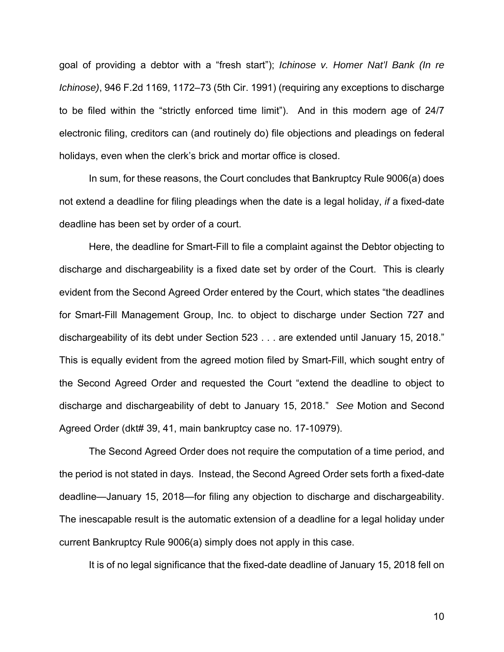goal of providing a debtor with a "fresh start"); *Ichinose v. Homer Nat'l Bank (In re Ichinose)*, 946 F.2d 1169, 1172–73 (5th Cir. 1991) (requiring any exceptions to discharge to be filed within the "strictly enforced time limit"). And in this modern age of 24/7 electronic filing, creditors can (and routinely do) file objections and pleadings on federal holidays, even when the clerk's brick and mortar office is closed.

 In sum, for these reasons, the Court concludes that Bankruptcy Rule 9006(a) does not extend a deadline for filing pleadings when the date is a legal holiday, *if* a fixed-date deadline has been set by order of a court.

 Here, the deadline for Smart-Fill to file a complaint against the Debtor objecting to discharge and dischargeability is a fixed date set by order of the Court. This is clearly evident from the Second Agreed Order entered by the Court, which states "the deadlines for Smart-Fill Management Group, Inc. to object to discharge under Section 727 and dischargeability of its debt under Section 523 . . . are extended until January 15, 2018." This is equally evident from the agreed motion filed by Smart-Fill, which sought entry of the Second Agreed Order and requested the Court "extend the deadline to object to discharge and dischargeability of debt to January 15, 2018." *See* Motion and Second Agreed Order (dkt# 39, 41, main bankruptcy case no. 17-10979).

The Second Agreed Order does not require the computation of a time period, and the period is not stated in days. Instead, the Second Agreed Order sets forth a fixed-date deadline—January 15, 2018—for filing any objection to discharge and dischargeability. The inescapable result is the automatic extension of a deadline for a legal holiday under current Bankruptcy Rule 9006(a) simply does not apply in this case.

It is of no legal significance that the fixed-date deadline of January 15, 2018 fell on

10